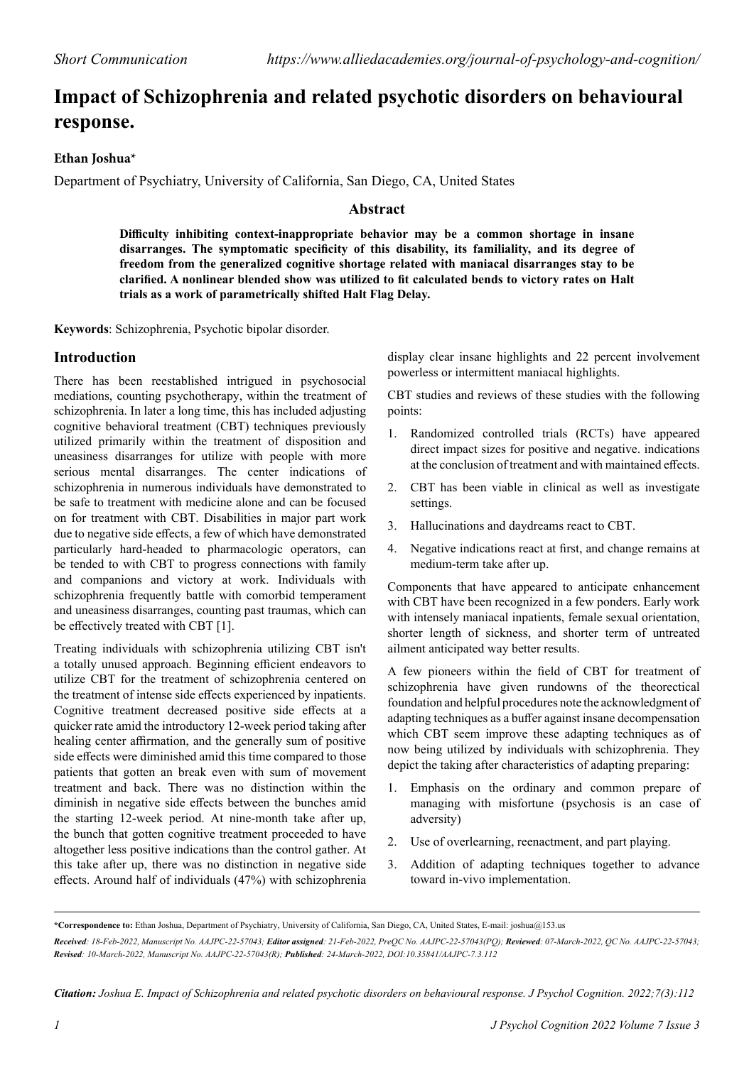# **Impact of Schizophrenia and related psychotic disorders on behavioural response.**

## **Ethan Joshua\***

Department of Psychiatry, University of California, San Diego, CA, United States

# **Abstract**

**Difficulty inhibiting context-inappropriate behavior may be a common shortage in insane disarranges. The symptomatic specificity of this disability, its familiality, and its degree of freedom from the generalized cognitive shortage related with maniacal disarranges stay to be clarified. A nonlinear blended show was utilized to fit calculated bends to victory rates on Halt trials as a work of parametrically shifted Halt Flag Delay.**

**Keywords**: Schizophrenia, Psychotic bipolar disorder.

## **Introduction**

There has been reestablished intrigued in psychosocial mediations, counting psychotherapy, within the treatment of schizophrenia. In later a long time, this has included adjusting cognitive behavioral treatment (CBT) techniques previously utilized primarily within the treatment of disposition and uneasiness disarranges for utilize with people with more serious mental disarranges. The center indications of schizophrenia in numerous individuals have demonstrated to be safe to treatment with medicine alone and can be focused on for treatment with CBT. Disabilities in major part work due to negative side effects, a few of which have demonstrated particularly hard-headed to pharmacologic operators, can be tended to with CBT to progress connections with family and companions and victory at work. Individuals with schizophrenia frequently battle with comorbid temperament and uneasiness disarranges, counting past traumas, which can be effectively treated with CBT [1].

Treating individuals with schizophrenia utilizing CBT isn't a totally unused approach. Beginning efficient endeavors to utilize CBT for the treatment of schizophrenia centered on the treatment of intense side effects experienced by inpatients. Cognitive treatment decreased positive side effects at a quicker rate amid the introductory 12-week period taking after healing center affirmation, and the generally sum of positive side effects were diminished amid this time compared to those patients that gotten an break even with sum of movement treatment and back. There was no distinction within the diminish in negative side effects between the bunches amid the starting 12-week period. At nine-month take after up, the bunch that gotten cognitive treatment proceeded to have altogether less positive indications than the control gather. At this take after up, there was no distinction in negative side effects. Around half of individuals (47%) with schizophrenia

display clear insane highlights and 22 percent involvement powerless or intermittent maniacal highlights.

CBT studies and reviews of these studies with the following points:

- 1. Randomized controlled trials (RCTs) have appeared direct impact sizes for positive and negative. indications at the conclusion of treatment and with maintained effects.
- 2. CBT has been viable in clinical as well as investigate settings.
- 3. Hallucinations and daydreams react to CBT.
- 4. Negative indications react at first, and change remains at medium-term take after up.

Components that have appeared to anticipate enhancement with CBT have been recognized in a few ponders. Early work with intensely maniacal inpatients, female sexual orientation, shorter length of sickness, and shorter term of untreated ailment anticipated way better results.

A few pioneers within the field of CBT for treatment of schizophrenia have given rundowns of the theorectical foundation and helpful procedures note the acknowledgment of adapting techniques as a buffer against insane decompensation which CBT seem improve these adapting techniques as of now being utilized by individuals with schizophrenia. They depict the taking after characteristics of adapting preparing:

- 1. Emphasis on the ordinary and common prepare of managing with misfortune (psychosis is an case of adversity)
- 2. Use of overlearning, reenactment, and part playing.
- 3. Addition of adapting techniques together to advance toward in-vivo implementation.

*Citation: Joshua E. Impact of Schizophrenia and related psychotic disorders on behavioural response. J Psychol Cognition. 2022;7(3):112*

**<sup>\*</sup>Correspondence to:** Ethan Joshua, Department of Psychiatry, University of California, San Diego, CA, United States, E-mail: joshua@153.us

*Received: 18-Feb-2022, Manuscript No. AAJPC-22-57043; Editor assigned: 21-Feb-2022, PreQC No. AAJPC-22-57043(PQ); Reviewed: 07-March-2022, QC No. AAJPC-22-57043; Revised: 10-March-2022, Manuscript No. AAJPC-22-57043(R); Published: 24-March-2022, DOI:10.35841/AAJPC-7.3.112*